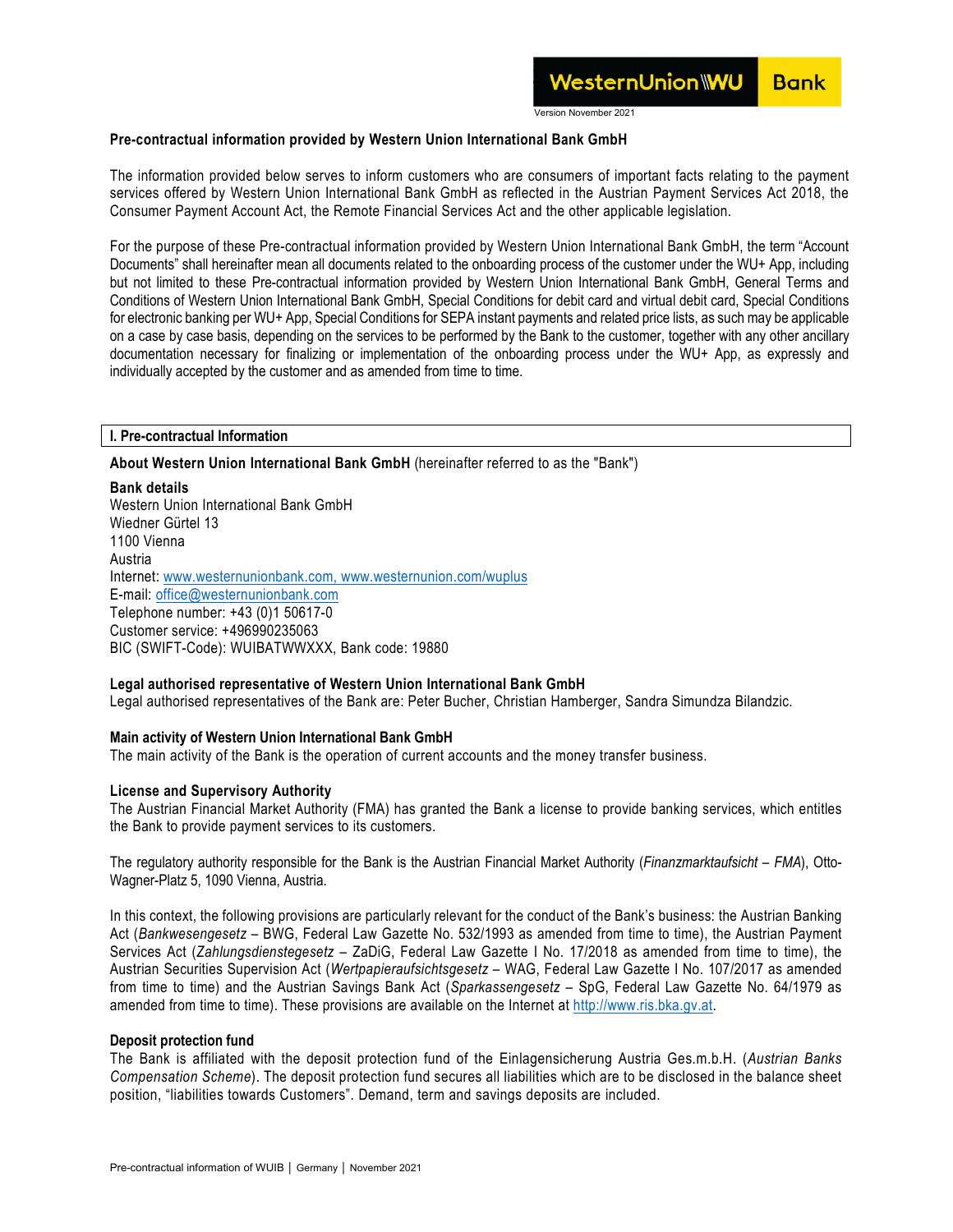Version November 2021

### **Pre-contractual information provided by Western Union International Bank GmbH**

The information provided below serves to inform customers who are consumers of important facts relating to the payment services offered by Western Union International Bank GmbH as reflected in the Austrian Payment Services Act 2018, the Consumer Payment Account Act, the Remote Financial Services Act and the other applicable legislation.

For the purpose of these Pre-contractual information provided by Western Union International Bank GmbH, the term "Account Documents" shall hereinafter mean all documents related to the onboarding process of the customer under the WU+ App, including but not limited to these Pre-contractual information provided by Western Union International Bank GmbH, General Terms and Conditions of Western Union International Bank GmbH, Special Conditions for debit card and virtual debit card, Special Conditions for electronic banking per WU+ App, Special Conditions for SEPA instant payments and related price lists, as such may be applicable on a case by case basis, depending on the services to be performed by the Bank to the customer, together with any other ancillary documentation necessary for finalizing or implementation of the onboarding process under the WU+ App, as expressly and individually accepted by the customer and as amended from time to time.

### **I. Pre-contractual Information**

### **About Western Union International Bank GmbH** (hereinafter referred to as the "Bank")

### **Bank details**

Western Union International Bank GmbH Wiedner Gürtel 13 1100 Vienna Austria Internet: [www.westernunionbank.com,](http://www.westernunionbank.com/) www.westernunion.com/wuplus E-mail: [office@westernunionbank.com](mailto:office@westernunionbank.com)  Telephone number: +43 (0)1 50617-0 Customer service: +496990235063 BIC (SWIFT-Code): WUIBATWWXXX, Bank code: 19880

### **Legal authorised representative of Western Union International Bank GmbH**

Legal authorised representatives of the Bank are: Peter Bucher, Christian Hamberger, Sandra Simundza Bilandzic.

### **Main activity of Western Union International Bank GmbH**

The main activity of the Bank is the operation of current accounts and the money transfer business.

### **License and Supervisory Authority**

The Austrian Financial Market Authority (FMA) has granted the Bank a license to provide banking services, which entitles the Bank to provide payment services to its customers.

The regulatory authority responsible for the Bank is the Austrian Financial Market Authority (*Finanzmarktaufsicht – FMA*), Otto-Wagner-Platz 5, 1090 Vienna, Austria.

In this context, the following provisions are particularly relevant for the conduct of the Bank's business: the Austrian Banking Act (*Bankwesengesetz* – BWG, Federal Law Gazette No. 532/1993 as amended from time to time), the Austrian Payment Services Act (*Zahlungsdienstegesetz* – ZaDiG, Federal Law Gazette I No. 17/2018 as amended from time to time), the Austrian Securities Supervision Act (*Wertpapieraufsichtsgesetz* – WAG, Federal Law Gazette I No. 107/2017 as amended from time to time) and the Austrian Savings Bank Act (*Sparkassengesetz* – SpG, Federal Law Gazette No. 64/1979 as amended from time to time). These provisions are available on the Internet at [http://www.ris.bka.gv.at.](http://www.ris.bka.gv.at/)

### **Deposit protection fund**

The Bank is affiliated with the deposit protection fund of the Einlagensicherung Austria Ges.m.b.H. (*Austrian Banks Compensation Scheme*). The deposit protection fund secures all liabilities which are to be disclosed in the balance sheet position, "liabilities towards Customers". Demand, term and savings deposits are included.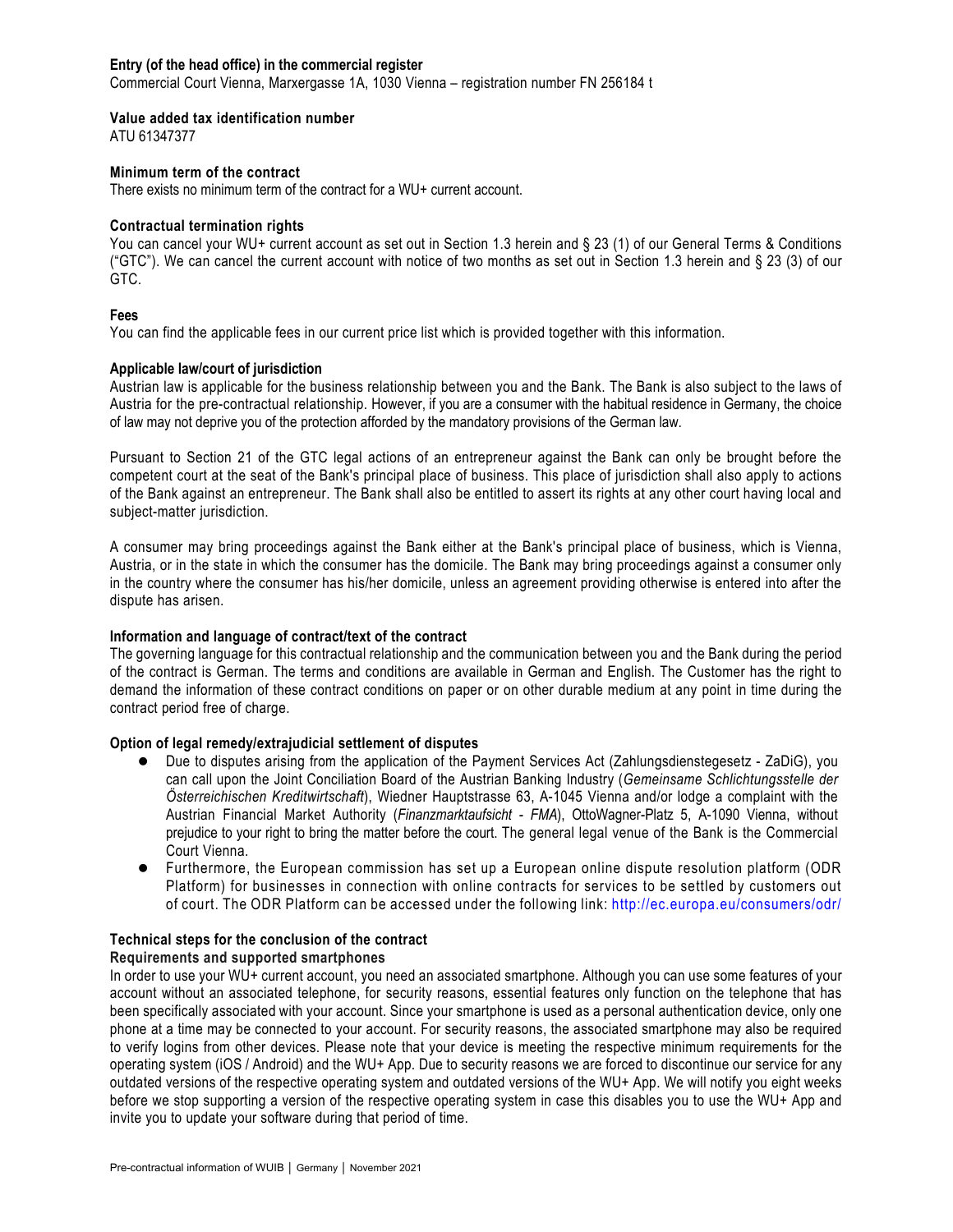### **Entry (of the head office) in the commercial register**

Commercial Court Vienna, Marxergasse 1A, 1030 Vienna – registration number FN 256184 t

### **Value added tax identification number**

ATU 61347377

### **Minimum term of the contract**

There exists no minimum term of the contract for a WU+ current account.

### **Contractual termination rights**

You can cancel your WU+ current account as set out in Section 1.3 herein and § 23 (1) of our General Terms & Conditions ("GTC"). We can cancel the current account with notice of two months as set out in Section 1.3 herein and § 23 (3) of our GTC.

### **Fees**

You can find the applicable fees in our current price list which is provided together with this information.

# **Applicable law/court of jurisdiction**

Austrian law is applicable for the business relationship between you and the Bank. The Bank is also subject to the laws of Austria for the pre-contractual relationship. However, if you are a consumer with the habitual residence in Germany, the choice of law may not deprive you of the protection afforded by the mandatory provisions of the German law.

Pursuant to Section 21 of the GTC legal actions of an entrepreneur against the Bank can only be brought before the competent court at the seat of the Bank's principal place of business. This place of jurisdiction shall also apply to actions of the Bank against an entrepreneur. The Bank shall also be entitled to assert its rights at any other court having local and subject-matter jurisdiction.

A consumer may bring proceedings against the Bank either at the Bank's principal place of business, which is Vienna, Austria, or in the state in which the consumer has the domicile. The Bank may bring proceedings against a consumer only in the country where the consumer has his/her domicile, unless an agreement providing otherwise is entered into after the dispute has arisen.

# **Information and language of contract/text of the contract**

The governing language for this contractual relationship and the communication between you and the Bank during the period of the contract is German. The terms and conditions are available in German and English. The Customer has the right to demand the information of these contract conditions on paper or on other durable medium at any point in time during the contract period free of charge.

# **Option of legal remedy/extrajudicial settlement of disputes**

- Due to disputes arising from the application of the Payment Services Act (Zahlungsdienstegesetz ZaDiG), you can call upon the Joint Conciliation Board of the Austrian Banking Industry (*Gemeinsame Schlichtungsstelle der Österreichischen Kreditwirtschaft*), Wiedner Hauptstrasse 63, A-1045 Vienna and/or lodge a complaint with the Austrian Financial Market Authority (*Finanzmarktaufsicht - FMA*), OttoWagner-Platz 5, A-1090 Vienna, without prejudice to your right to bring the matter before the court. The general legal venue of the Bank is the Commercial Court Vienna.
- Furthermore, the European commission has set up a European online dispute resolution platform (ODR Platform) for businesses in connection with online contracts for services to be settled by customers out of court. The ODR Platform can be accessed under the following link:<http://ec.europa.eu/consumers/odr/>

# **Technical steps for the conclusion of the contract**

# **Requirements and supported smartphones**

In order to use your WU+ current account, you need an associated smartphone. Although you can use some features of your account without an associated telephone, for security reasons, essential features only function on the telephone that has been specifically associated with your account. Since your smartphone is used as a personal authentication device, only one phone at a time may be connected to your account. For security reasons, the associated smartphone may also be required to verify logins from other devices. Please note that your device is meeting the respective minimum requirements for the operating system (iOS / Android) and the WU+ App. Due to security reasons we are forced to discontinue our service for any outdated versions of the respective operating system and outdated versions of the WU+ App. We will notify you eight weeks before we stop supporting a version of the respective operating system in case this disables you to use the WU+ App and invite you to update your software during that period of time.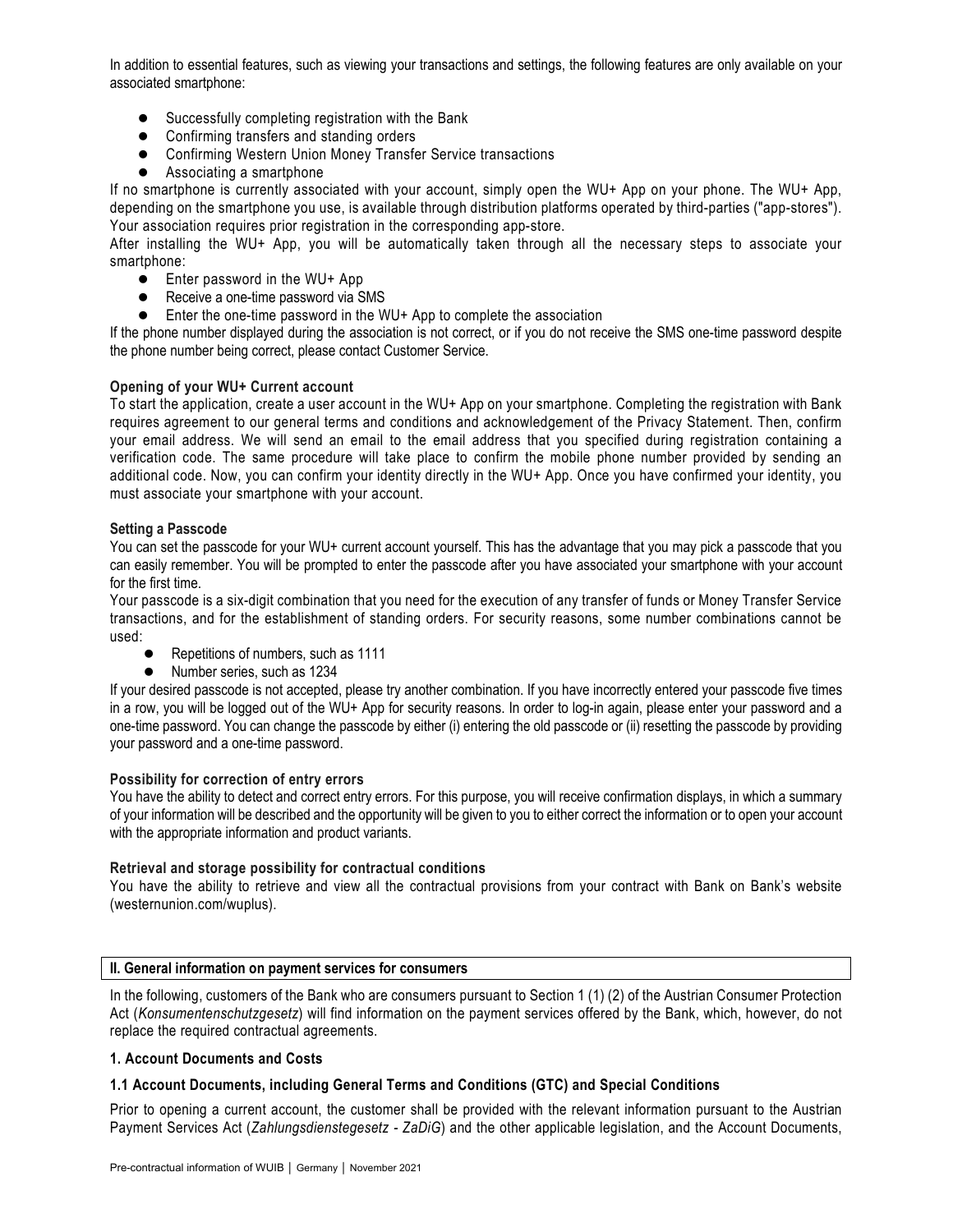In addition to essential features, such as viewing your transactions and settings, the following features are only available on your associated smartphone:

- Successfully completing registration with the Bank
- Confirming transfers and standing orders
- Confirming Western Union Money Transfer Service transactions
- Associating a smartphone

If no smartphone is currently associated with your account, simply open the WU+ App on your phone. The WU+ App, depending on the smartphone you use, is available through distribution platforms operated by third-parties ("app-stores"). Your association requires prior registration in the corresponding app-store.

After installing the WU+ App, you will be automatically taken through all the necessary steps to associate your smartphone:

- Enter password in the WU+ App
- Receive a one-time password via SMS
- Enter the one-time password in the WU+ App to complete the association

If the phone number displayed during the association is not correct, or if you do not receive the SMS one-time password despite the phone number being correct, please contact Customer Service.

# **Opening of your WU+ Current account**

To start the application, create a user account in the WU+ App on your smartphone. Completing the registration with Bank requires agreement to our general terms and conditions and acknowledgement of the Privacy Statement. Then, confirm your email address. We will send an email to the email address that you specified during registration containing a verification code. The same procedure will take place to confirm the mobile phone number provided by sending an additional code. Now, you can confirm your identity directly in the WU+ App. Once you have confirmed your identity, you must associate your smartphone with your account.

### **Setting a Passcode**

You can set the passcode for your WU+ current account yourself. This has the advantage that you may pick a passcode that you can easily remember. You will be prompted to enter the passcode after you have associated your smartphone with your account for the first time.

Your passcode is a six-digit combination that you need for the execution of any transfer of funds or Money Transfer Service transactions, and for the establishment of standing orders. For security reasons, some number combinations cannot be used:

- Repetitions of numbers, such as 1111
- Number series, such as 1234

If your desired passcode is not accepted, please try another combination. If you have incorrectly entered your passcode five times in a row, you will be logged out of the WU+ App for security reasons. In order to log-in again, please enter your password and a one-time password. You can change the passcode by either (i) entering the old passcode or (ii) resetting the passcode by providing your password and a one-time password.

# **Possibility for correction of entry errors**

You have the ability to detect and correct entry errors. For this purpose, you will receive confirmation displays, in which a summary of your information will be described and the opportunity will be given to you to either correct the information or to open your account with the appropriate information and product variants.

# **Retrieval and storage possibility for contractual conditions**

You have the ability to retrieve and view all the contractual provisions from your contract with Bank on Bank's website (westernunion.com/wuplus).

### **II. General information on payment services for consumers**

In the following, customers of the Bank who are consumers pursuant to Section 1 (1) (2) of the Austrian Consumer Protection Act (*Konsumentenschutzgesetz*) will find information on the payment services offered by the Bank, which, however, do not replace the required contractual agreements.

### **1. Account Documents and Costs**

# **1.1 Account Documents, including General Terms and Conditions (GTC) and Special Conditions**

Prior to opening a current account, the customer shall be provided with the relevant information pursuant to the Austrian Payment Services Act (*Zahlungsdienstegesetz - ZaDiG*) and the other applicable legislation, and the Account Documents,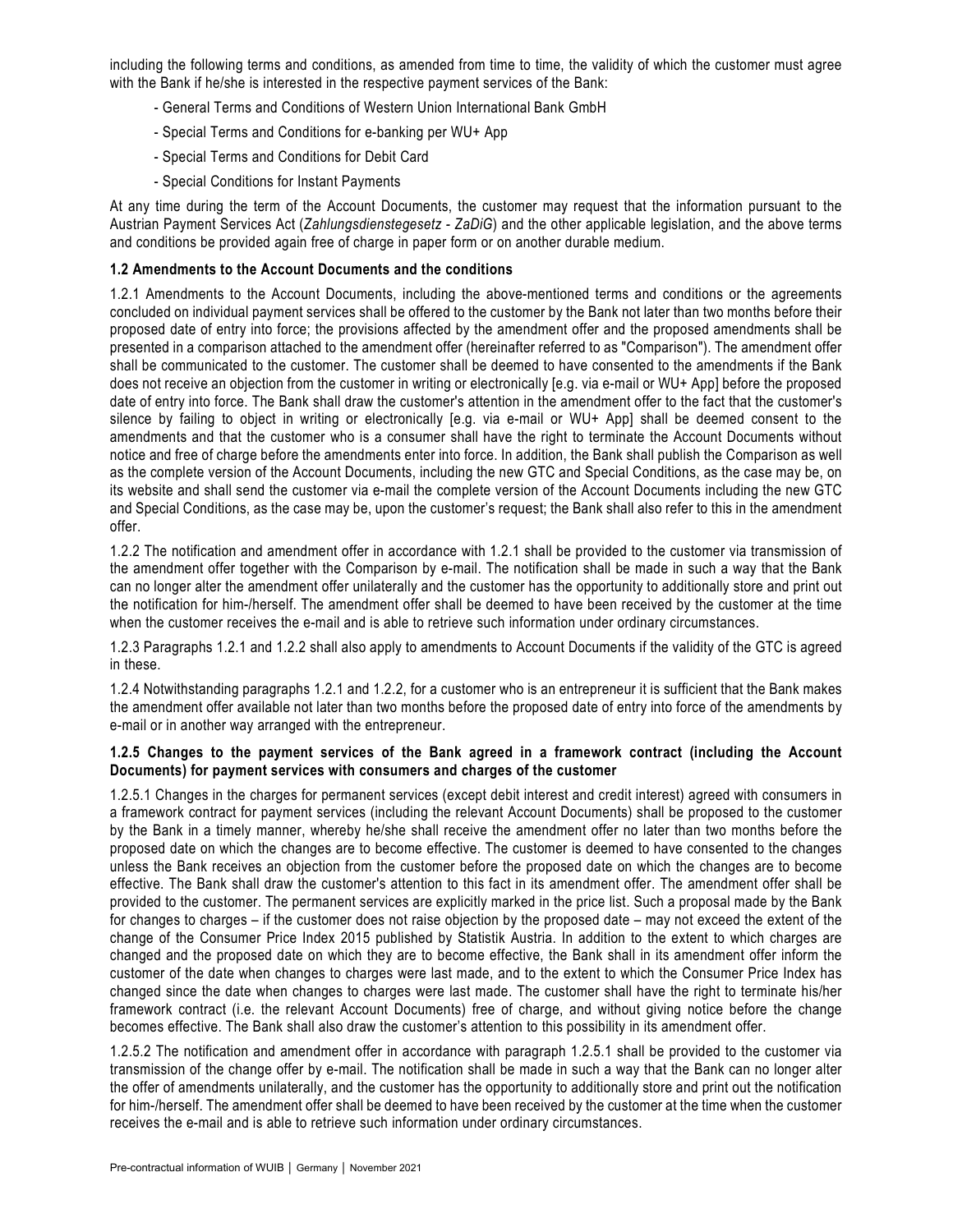including the following terms and conditions, as amended from time to time, the validity of which the customer must agree with the Bank if he/she is interested in the respective payment services of the Bank:

- General Terms and Conditions of Western Union International Bank GmbH
- Special Terms and Conditions for e-banking per WU+ App
- Special Terms and Conditions for Debit Card
- Special Conditions for Instant Payments

At any time during the term of the Account Documents, the customer may request that the information pursuant to the Austrian Payment Services Act (*Zahlungsdienstegesetz - ZaDiG*) and the other applicable legislation, and the above terms and conditions be provided again free of charge in paper form or on another durable medium.

# **1.2 Amendments to the Account Documents and the conditions**

1.2.1 Amendments to the Account Documents, including the above-mentioned terms and conditions or the agreements concluded on individual payment services shall be offered to the customer by the Bank not later than two months before their proposed date of entry into force; the provisions affected by the amendment offer and the proposed amendments shall be presented in a comparison attached to the amendment offer (hereinafter referred to as "Comparison"). The amendment offer shall be communicated to the customer. The customer shall be deemed to have consented to the amendments if the Bank does not receive an objection from the customer in writing or electronically [e.g. via e-mail or WU+ App] before the proposed date of entry into force. The Bank shall draw the customer's attention in the amendment offer to the fact that the customer's silence by failing to object in writing or electronically [e.g. via e-mail or WU+ App] shall be deemed consent to the amendments and that the customer who is a consumer shall have the right to terminate the Account Documents without notice and free of charge before the amendments enter into force. In addition, the Bank shall publish the Comparison as well as the complete version of the Account Documents, including the new GTC and Special Conditions, as the case may be, on its website and shall send the customer via e-mail the complete version of the Account Documents including the new GTC and Special Conditions, as the case may be, upon the customer's request; the Bank shall also refer to this in the amendment offer.

1.2.2 The notification and amendment offer in accordance with 1.2.1 shall be provided to the customer via transmission of the amendment offer together with the Comparison by e-mail. The notification shall be made in such a way that the Bank can no longer alter the amendment offer unilaterally and the customer has the opportunity to additionally store and print out the notification for him-/herself. The amendment offer shall be deemed to have been received by the customer at the time when the customer receives the e-mail and is able to retrieve such information under ordinary circumstances.

1.2.3 Paragraphs 1.2.1 and 1.2.2 shall also apply to amendments to Account Documents if the validity of the GTC is agreed in these.

1.2.4 Notwithstanding paragraphs 1.2.1 and 1.2.2, for a customer who is an entrepreneur it is sufficient that the Bank makes the amendment offer available not later than two months before the proposed date of entry into force of the amendments by e-mail or in another way arranged with the entrepreneur.

# **1.2.5 Changes to the payment services of the Bank agreed in a framework contract (including the Account Documents) for payment services with consumers and charges of the customer**

1.2.5.1 Changes in the charges for permanent services (except debit interest and credit interest) agreed with consumers in a framework contract for payment services (including the relevant Account Documents) shall be proposed to the customer by the Bank in a timely manner, whereby he/she shall receive the amendment offer no later than two months before the proposed date on which the changes are to become effective. The customer is deemed to have consented to the changes unless the Bank receives an objection from the customer before the proposed date on which the changes are to become effective. The Bank shall draw the customer's attention to this fact in its amendment offer. The amendment offer shall be provided to the customer. The permanent services are explicitly marked in the price list. Such a proposal made by the Bank for changes to charges – if the customer does not raise objection by the proposed date – may not exceed the extent of the change of the Consumer Price Index 2015 published by Statistik Austria. In addition to the extent to which charges are changed and the proposed date on which they are to become effective, the Bank shall in its amendment offer inform the customer of the date when changes to charges were last made, and to the extent to which the Consumer Price Index has changed since the date when changes to charges were last made. The customer shall have the right to terminate his/her framework contract (i.e. the relevant Account Documents) free of charge, and without giving notice before the change becomes effective. The Bank shall also draw the customer's attention to this possibility in its amendment offer.

1.2.5.2 The notification and amendment offer in accordance with paragraph 1.2.5.1 shall be provided to the customer via transmission of the change offer by e-mail. The notification shall be made in such a way that the Bank can no longer alter the offer of amendments unilaterally, and the customer has the opportunity to additionally store and print out the notification for him-/herself. The amendment offer shall be deemed to have been received by the customer at the time when the customer receives the e-mail and is able to retrieve such information under ordinary circumstances.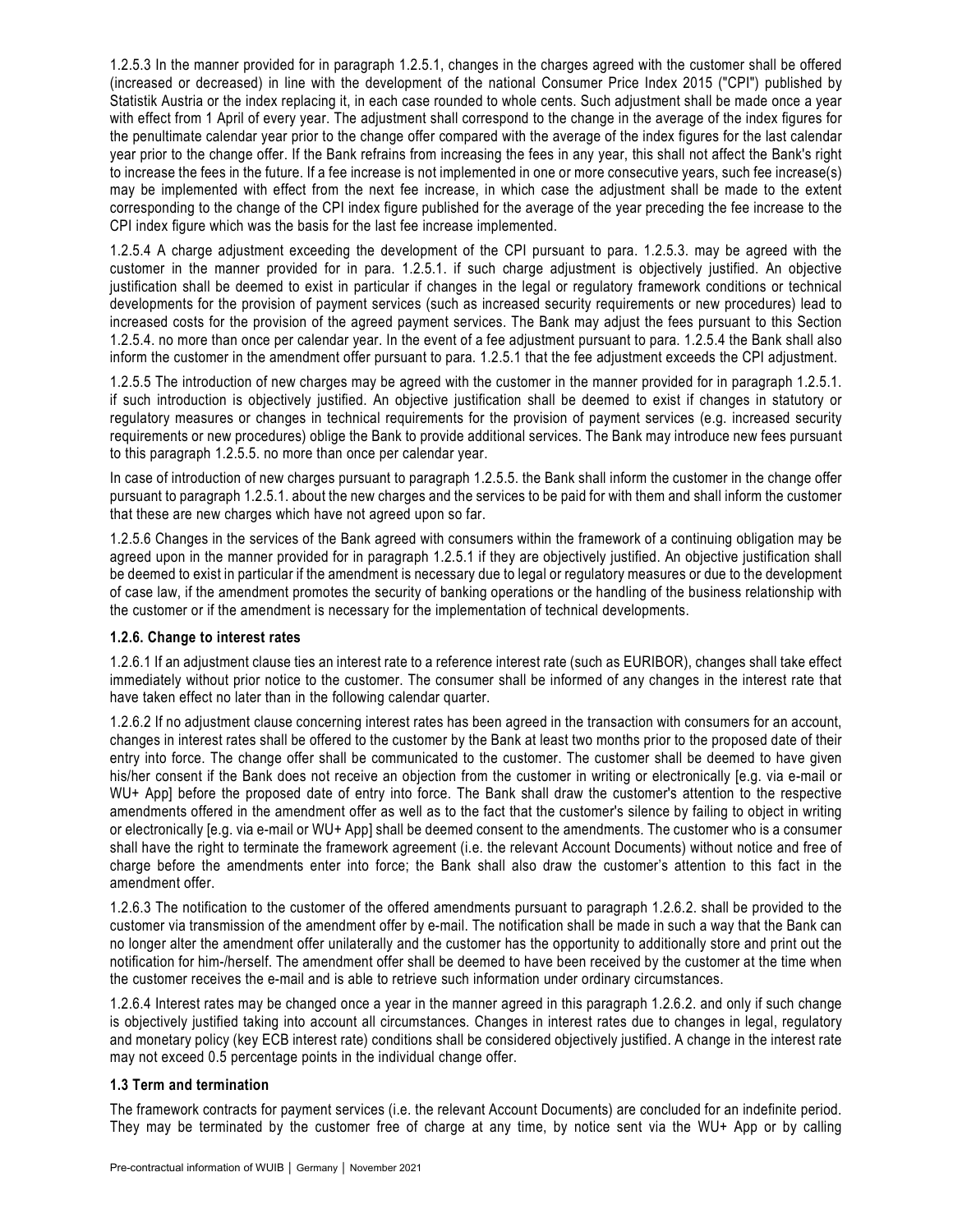1.2.5.3 In the manner provided for in paragraph 1.2.5.1, changes in the charges agreed with the customer shall be offered (increased or decreased) in line with the development of the national Consumer Price Index 2015 ("CPI") published by Statistik Austria or the index replacing it, in each case rounded to whole cents. Such adjustment shall be made once a year with effect from 1 April of every year. The adjustment shall correspond to the change in the average of the index figures for the penultimate calendar year prior to the change offer compared with the average of the index figures for the last calendar year prior to the change offer. If the Bank refrains from increasing the fees in any year, this shall not affect the Bank's right to increase the fees in the future. If a fee increase is not implemented in one or more consecutive years, such fee increase(s) may be implemented with effect from the next fee increase, in which case the adjustment shall be made to the extent corresponding to the change of the CPI index figure published for the average of the year preceding the fee increase to the CPI index figure which was the basis for the last fee increase implemented.

1.2.5.4 A charge adjustment exceeding the development of the CPI pursuant to para. 1.2.5.3. may be agreed with the customer in the manner provided for in para. 1.2.5.1. if such charge adjustment is objectively justified. An objective justification shall be deemed to exist in particular if changes in the legal or regulatory framework conditions or technical developments for the provision of payment services (such as increased security requirements or new procedures) lead to increased costs for the provision of the agreed payment services. The Bank may adjust the fees pursuant to this Section 1.2.5.4. no more than once per calendar year. In the event of a fee adjustment pursuant to para. 1.2.5.4 the Bank shall also inform the customer in the amendment offer pursuant to para. 1.2.5.1 that the fee adjustment exceeds the CPI adjustment.

1.2.5.5 The introduction of new charges may be agreed with the customer in the manner provided for in paragraph 1.2.5.1. if such introduction is objectively justified. An objective justification shall be deemed to exist if changes in statutory or regulatory measures or changes in technical requirements for the provision of payment services (e.g. increased security requirements or new procedures) oblige the Bank to provide additional services. The Bank may introduce new fees pursuant to this paragraph 1.2.5.5. no more than once per calendar year.

In case of introduction of new charges pursuant to paragraph 1.2.5.5. the Bank shall inform the customer in the change offer pursuant to paragraph 1.2.5.1. about the new charges and the services to be paid for with them and shall inform the customer that these are new charges which have not agreed upon so far.

1.2.5.6 Changes in the services of the Bank agreed with consumers within the framework of a continuing obligation may be agreed upon in the manner provided for in paragraph 1.2.5.1 if they are objectively justified. An objective justification shall be deemed to exist in particular if the amendment is necessary due to legal or regulatory measures or due to the development of case law, if the amendment promotes the security of banking operations or the handling of the business relationship with the customer or if the amendment is necessary for the implementation of technical developments.

# **1.2.6. Change to interest rates**

1.2.6.1 If an adjustment clause ties an interest rate to a reference interest rate (such as EURIBOR), changes shall take effect immediately without prior notice to the customer. The consumer shall be informed of any changes in the interest rate that have taken effect no later than in the following calendar quarter.

1.2.6.2 If no adjustment clause concerning interest rates has been agreed in the transaction with consumers for an account, changes in interest rates shall be offered to the customer by the Bank at least two months prior to the proposed date of their entry into force. The change offer shall be communicated to the customer. The customer shall be deemed to have given his/her consent if the Bank does not receive an objection from the customer in writing or electronically [e.g. via e-mail or WU+ App] before the proposed date of entry into force. The Bank shall draw the customer's attention to the respective amendments offered in the amendment offer as well as to the fact that the customer's silence by failing to object in writing or electronically [e.g. via e-mail or WU+ App] shall be deemed consent to the amendments. The customer who is a consumer shall have the right to terminate the framework agreement (i.e. the relevant Account Documents) without notice and free of charge before the amendments enter into force; the Bank shall also draw the customer's attention to this fact in the amendment offer.

1.2.6.3 The notification to the customer of the offered amendments pursuant to paragraph 1.2.6.2. shall be provided to the customer via transmission of the amendment offer by e-mail. The notification shall be made in such a way that the Bank can no longer alter the amendment offer unilaterally and the customer has the opportunity to additionally store and print out the notification for him-/herself. The amendment offer shall be deemed to have been received by the customer at the time when the customer receives the e-mail and is able to retrieve such information under ordinary circumstances.

1.2.6.4 Interest rates may be changed once a year in the manner agreed in this paragraph 1.2.6.2. and only if such change is objectively justified taking into account all circumstances. Changes in interest rates due to changes in legal, regulatory and monetary policy (key ECB interest rate) conditions shall be considered objectively justified. A change in the interest rate may not exceed 0.5 percentage points in the individual change offer.

# **1.3 Term and termination**

The framework contracts for payment services (i.e. the relevant Account Documents) are concluded for an indefinite period. They may be terminated by the customer free of charge at any time, by notice sent via the WU+ App or by calling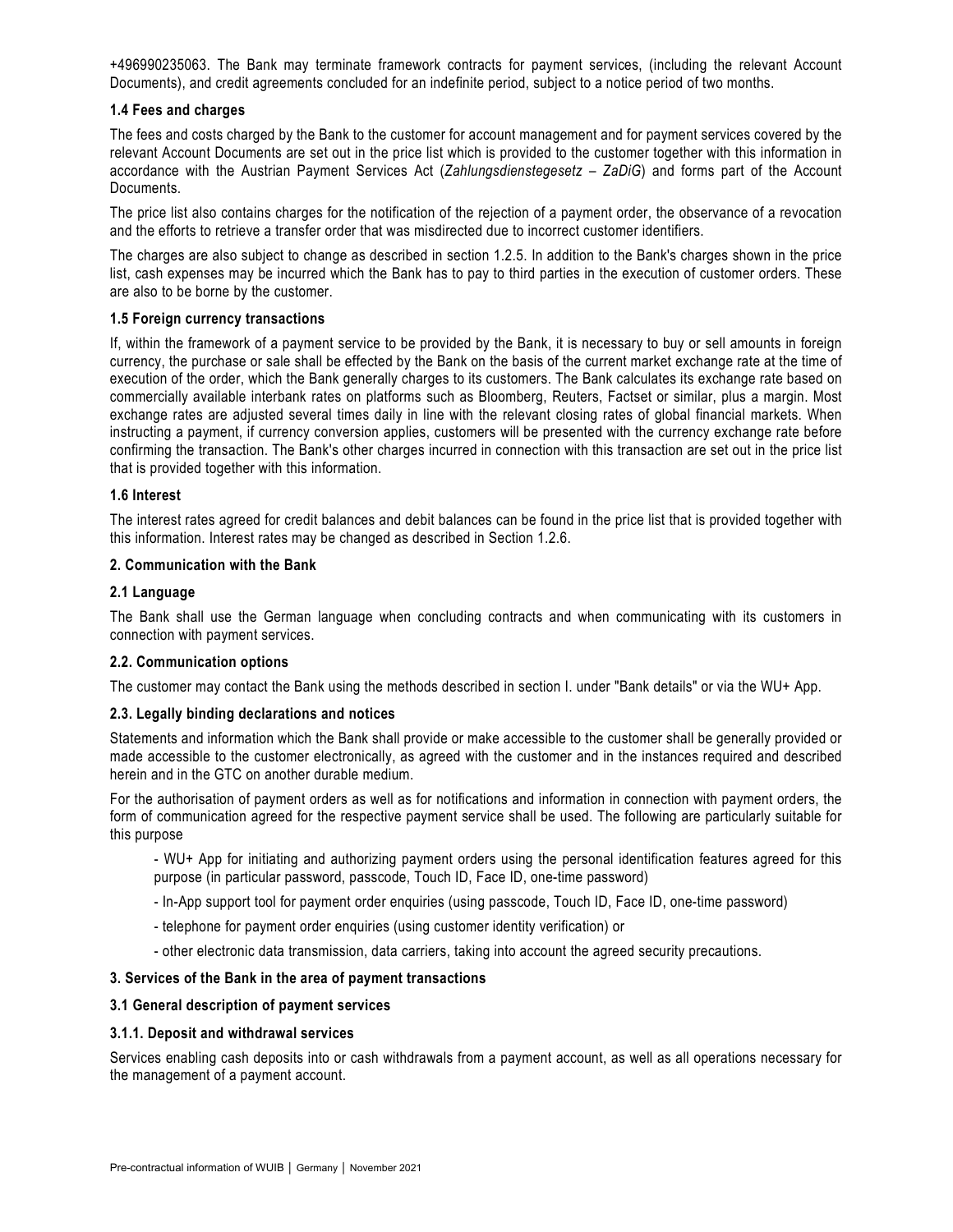+496990235063. The Bank may terminate framework contracts for payment services, (including the relevant Account Documents), and credit agreements concluded for an indefinite period, subject to a notice period of two months.

### **1.4 Fees and charges**

The fees and costs charged by the Bank to the customer for account management and for payment services covered by the relevant Account Documents are set out in the price list which is provided to the customer together with this information in accordance with the Austrian Payment Services Act (*Zahlungsdienstegesetz – ZaDiG*) and forms part of the Account Documents.

The price list also contains charges for the notification of the rejection of a payment order, the observance of a revocation and the efforts to retrieve a transfer order that was misdirected due to incorrect customer identifiers.

The charges are also subject to change as described in section 1.2.5. In addition to the Bank's charges shown in the price list, cash expenses may be incurred which the Bank has to pay to third parties in the execution of customer orders. These are also to be borne by the customer.

### **1.5 Foreign currency transactions**

If, within the framework of a payment service to be provided by the Bank, it is necessary to buy or sell amounts in foreign currency, the purchase or sale shall be effected by the Bank on the basis of the current market exchange rate at the time of execution of the order, which the Bank generally charges to its customers. The Bank calculates its exchange rate based on commercially available interbank rates on platforms such as Bloomberg, Reuters, Factset or similar, plus a margin. Most exchange rates are adjusted several times daily in line with the relevant closing rates of global financial markets. When instructing a payment, if currency conversion applies, customers will be presented with the currency exchange rate before confirming the transaction. The Bank's other charges incurred in connection with this transaction are set out in the price list that is provided together with this information.

### **1.6 Interest**

The interest rates agreed for credit balances and debit balances can be found in the price list that is provided together with this information. Interest rates may be changed as described in Section 1.2.6.

### **2. Communication with the Bank**

### **2.1 Language**

The Bank shall use the German language when concluding contracts and when communicating with its customers in connection with payment services.

### **2.2. Communication options**

The customer may contact the Bank using the methods described in section I. under "Bank details" or via the WU+ App.

### **2.3. Legally binding declarations and notices**

Statements and information which the Bank shall provide or make accessible to the customer shall be generally provided or made accessible to the customer electronically, as agreed with the customer and in the instances required and described herein and in the GTC on another durable medium.

For the authorisation of payment orders as well as for notifications and information in connection with payment orders, the form of communication agreed for the respective payment service shall be used. The following are particularly suitable for this purpose

- WU+ App for initiating and authorizing payment orders using the personal identification features agreed for this purpose (in particular password, passcode, Touch ID, Face ID, one-time password)

- In-App support tool for payment order enquiries (using passcode, Touch ID, Face ID, one-time password)
- telephone for payment order enquiries (using customer identity verification) or
- other electronic data transmission, data carriers, taking into account the agreed security precautions.

# **3. Services of the Bank in the area of payment transactions**

### **3.1 General description of payment services**

### **3.1.1. Deposit and withdrawal services**

Services enabling cash deposits into or cash withdrawals from a payment account, as well as all operations necessary for the management of a payment account.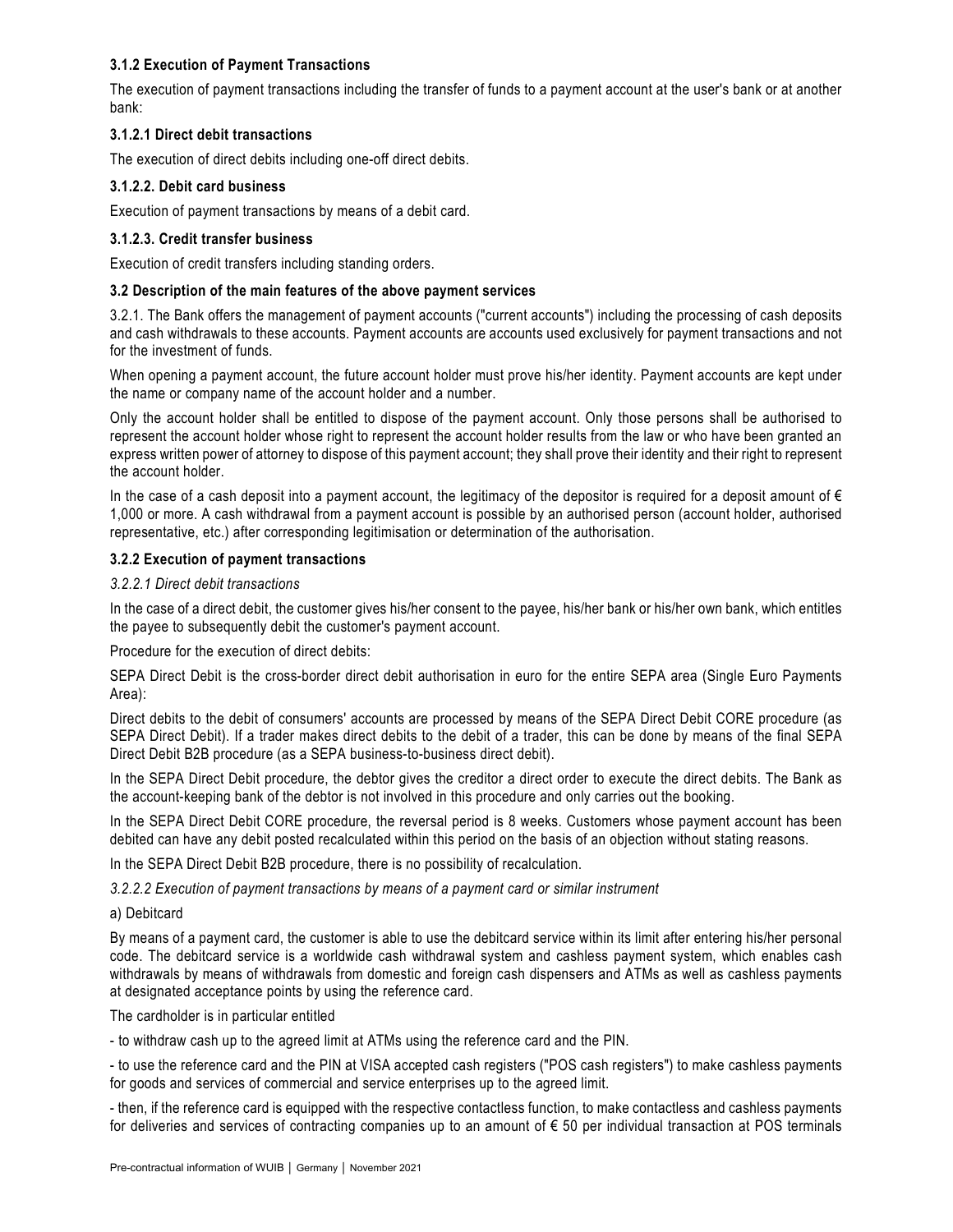# **3.1.2 Execution of Payment Transactions**

The execution of payment transactions including the transfer of funds to a payment account at the user's bank or at another bank:

# **3.1.2.1 Direct debit transactions**

The execution of direct debits including one-off direct debits.

# **3.1.2.2. Debit card business**

Execution of payment transactions by means of a debit card.

# **3.1.2.3. Credit transfer business**

Execution of credit transfers including standing orders.

# **3.2 Description of the main features of the above payment services**

3.2.1. The Bank offers the management of payment accounts ("current accounts") including the processing of cash deposits and cash withdrawals to these accounts. Payment accounts are accounts used exclusively for payment transactions and not for the investment of funds.

When opening a payment account, the future account holder must prove his/her identity. Payment accounts are kept under the name or company name of the account holder and a number.

Only the account holder shall be entitled to dispose of the payment account. Only those persons shall be authorised to represent the account holder whose right to represent the account holder results from the law or who have been granted an express written power of attorney to dispose of this payment account; they shall prove their identity and their right to represent the account holder.

In the case of a cash deposit into a payment account, the legitimacy of the depositor is required for a deposit amount of  $\epsilon$ 1,000 or more. A cash withdrawal from a payment account is possible by an authorised person (account holder, authorised representative, etc.) after corresponding legitimisation or determination of the authorisation.

# **3.2.2 Execution of payment transactions**

# *3.2.2.1 Direct debit transactions*

In the case of a direct debit, the customer gives his/her consent to the payee, his/her bank or his/her own bank, which entitles the payee to subsequently debit the customer's payment account.

Procedure for the execution of direct debits:

SEPA Direct Debit is the cross-border direct debit authorisation in euro for the entire SEPA area (Single Euro Payments Area):

Direct debits to the debit of consumers' accounts are processed by means of the SEPA Direct Debit CORE procedure (as SEPA Direct Debit). If a trader makes direct debits to the debit of a trader, this can be done by means of the final SEPA Direct Debit B2B procedure (as a SEPA business-to-business direct debit).

In the SEPA Direct Debit procedure, the debtor gives the creditor a direct order to execute the direct debits. The Bank as the account-keeping bank of the debtor is not involved in this procedure and only carries out the booking.

In the SEPA Direct Debit CORE procedure, the reversal period is 8 weeks. Customers whose payment account has been debited can have any debit posted recalculated within this period on the basis of an objection without stating reasons.

In the SEPA Direct Debit B2B procedure, there is no possibility of recalculation.

*3.2.2.2 Execution of payment transactions by means of a payment card or similar instrument* 

a) Debitcard

By means of a payment card, the customer is able to use the debitcard service within its limit after entering his/her personal code. The debitcard service is a worldwide cash withdrawal system and cashless payment system, which enables cash withdrawals by means of withdrawals from domestic and foreign cash dispensers and ATMs as well as cashless payments at designated acceptance points by using the reference card.

The cardholder is in particular entitled

- to withdraw cash up to the agreed limit at ATMs using the reference card and the PIN.

- to use the reference card and the PIN at VISA accepted cash registers ("POS cash registers") to make cashless payments for goods and services of commercial and service enterprises up to the agreed limit.

- then, if the reference card is equipped with the respective contactless function, to make contactless and cashless payments for deliveries and services of contracting companies up to an amount of  $\epsilon$  50 per individual transaction at POS terminals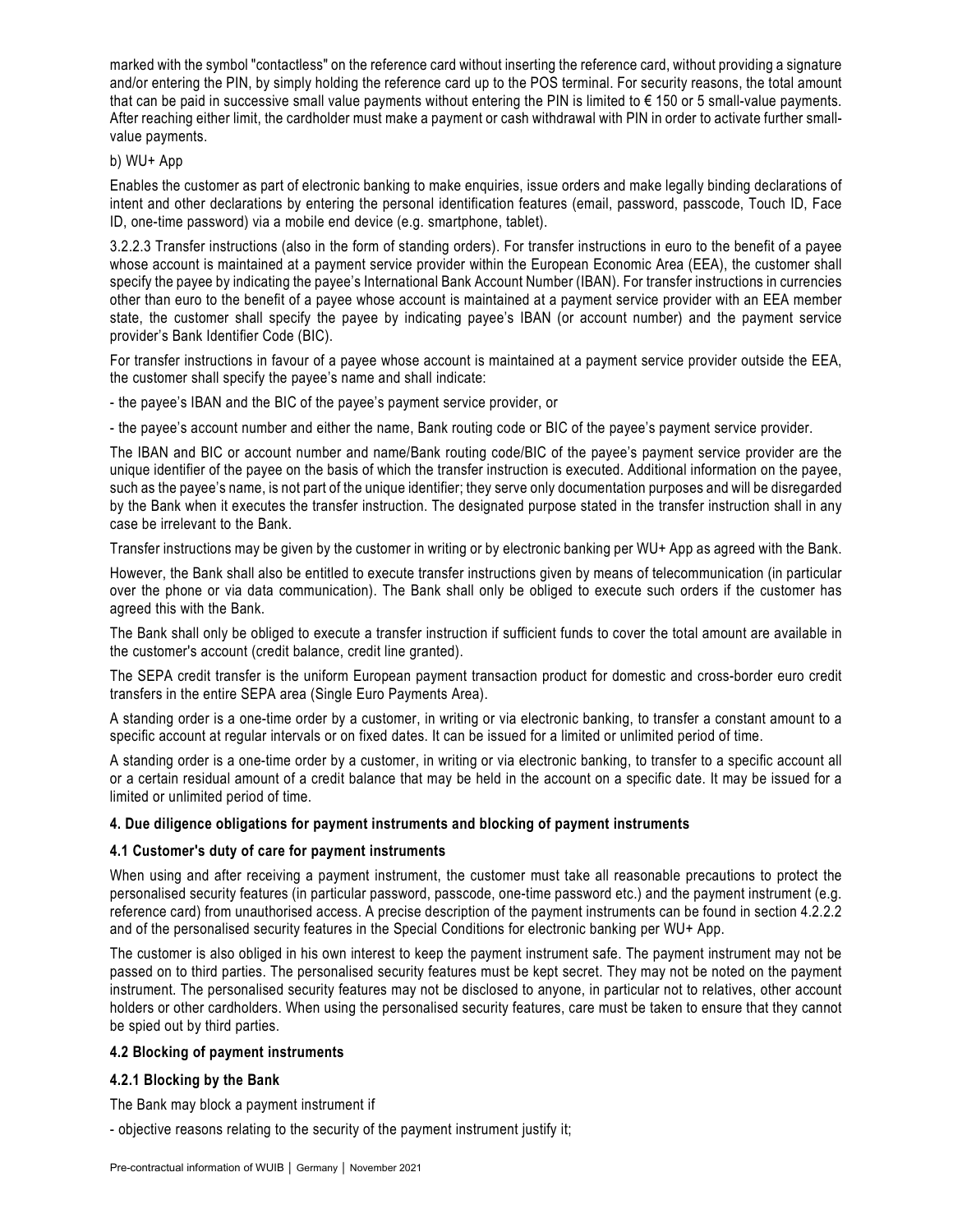marked with the symbol "contactless" on the reference card without inserting the reference card, without providing a signature and/or entering the PIN, by simply holding the reference card up to the POS terminal. For security reasons, the total amount that can be paid in successive small value payments without entering the PIN is limited to  $\epsilon$  150 or 5 small-value payments. After reaching either limit, the cardholder must make a payment or cash withdrawal with PIN in order to activate further smallvalue payments.

# b) WU+ App

Enables the customer as part of electronic banking to make enquiries, issue orders and make legally binding declarations of intent and other declarations by entering the personal identification features (email, password, passcode, Touch ID, Face ID, one-time password) via a mobile end device (e.g. smartphone, tablet).

3.2.2.3 Transfer instructions (also in the form of standing orders). For transfer instructions in euro to the benefit of a payee whose account is maintained at a payment service provider within the European Economic Area (EEA), the customer shall specify the payee by indicating the payee's International Bank Account Number (IBAN). For transfer instructions in currencies other than euro to the benefit of a payee whose account is maintained at a payment service provider with an EEA member state, the customer shall specify the payee by indicating payee's IBAN (or account number) and the payment service provider's Bank Identifier Code (BIC).

For transfer instructions in favour of a payee whose account is maintained at a payment service provider outside the EEA, the customer shall specify the payee's name and shall indicate:

- the payee's IBAN and the BIC of the payee's payment service provider, or

- the payee's account number and either the name, Bank routing code or BIC of the payee's payment service provider.

The IBAN and BIC or account number and name/Bank routing code/BIC of the payee's payment service provider are the unique identifier of the payee on the basis of which the transfer instruction is executed. Additional information on the payee, such as the payee's name, is not part of the unique identifier; they serve only documentation purposes and will be disregarded by the Bank when it executes the transfer instruction. The designated purpose stated in the transfer instruction shall in any case be irrelevant to the Bank.

Transfer instructions may be given by the customer in writing or by electronic banking per WU+ App as agreed with the Bank.

However, the Bank shall also be entitled to execute transfer instructions given by means of telecommunication (in particular over the phone or via data communication). The Bank shall only be obliged to execute such orders if the customer has agreed this with the Bank.

The Bank shall only be obliged to execute a transfer instruction if sufficient funds to cover the total amount are available in the customer's account (credit balance, credit line granted).

The SEPA credit transfer is the uniform European payment transaction product for domestic and cross-border euro credit transfers in the entire SEPA area (Single Euro Payments Area).

A standing order is a one-time order by a customer, in writing or via electronic banking, to transfer a constant amount to a specific account at regular intervals or on fixed dates. It can be issued for a limited or unlimited period of time.

A standing order is a one-time order by a customer, in writing or via electronic banking, to transfer to a specific account all or a certain residual amount of a credit balance that may be held in the account on a specific date. It may be issued for a limited or unlimited period of time.

# **4. Due diligence obligations for payment instruments and blocking of payment instruments**

# **4.1 Customer's duty of care for payment instruments**

When using and after receiving a payment instrument, the customer must take all reasonable precautions to protect the personalised security features (in particular password, passcode, one-time password etc.) and the payment instrument (e.g. reference card) from unauthorised access. A precise description of the payment instruments can be found in section 4.2.2.2 and of the personalised security features in the Special Conditions for electronic banking per WU+ App.

The customer is also obliged in his own interest to keep the payment instrument safe. The payment instrument may not be passed on to third parties. The personalised security features must be kept secret. They may not be noted on the payment instrument. The personalised security features may not be disclosed to anyone, in particular not to relatives, other account holders or other cardholders. When using the personalised security features, care must be taken to ensure that they cannot be spied out by third parties.

### **4.2 Blocking of payment instruments**

# **4.2.1 Blocking by the Bank**

The Bank may block a payment instrument if

- objective reasons relating to the security of the payment instrument justify it;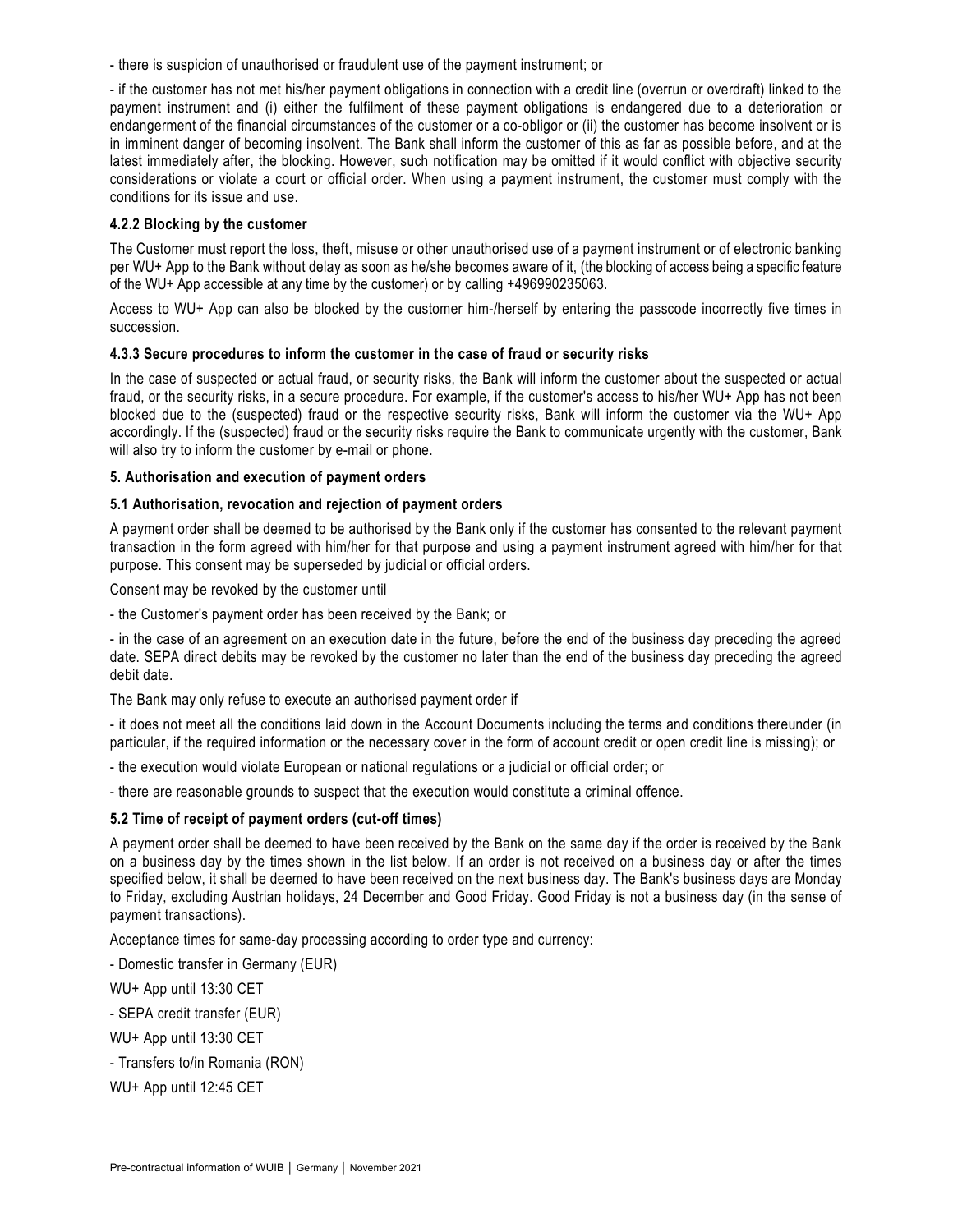- there is suspicion of unauthorised or fraudulent use of the payment instrument; or

- if the customer has not met his/her payment obligations in connection with a credit line (overrun or overdraft) linked to the payment instrument and (i) either the fulfilment of these payment obligations is endangered due to a deterioration or endangerment of the financial circumstances of the customer or a co-obligor or (ii) the customer has become insolvent or is in imminent danger of becoming insolvent. The Bank shall inform the customer of this as far as possible before, and at the latest immediately after, the blocking. However, such notification may be omitted if it would conflict with objective security considerations or violate a court or official order. When using a payment instrument, the customer must comply with the conditions for its issue and use.

### **4.2.2 Blocking by the customer**

The Customer must report the loss, theft, misuse or other unauthorised use of a payment instrument or of electronic banking per WU+ App to the Bank without delay as soon as he/she becomes aware of it, (the blocking of access being a specific feature of the WU+ App accessible at any time by the customer) or by calling +496990235063.

Access to WU+ App can also be blocked by the customer him-/herself by entering the passcode incorrectly five times in succession.

### **4.3.3 Secure procedures to inform the customer in the case of fraud or security risks**

In the case of suspected or actual fraud, or security risks, the Bank will inform the customer about the suspected or actual fraud, or the security risks, in a secure procedure. For example, if the customer's access to his/her WU+ App has not been blocked due to the (suspected) fraud or the respective security risks, Bank will inform the customer via the WU+ App accordingly. If the (suspected) fraud or the security risks require the Bank to communicate urgently with the customer, Bank will also try to inform the customer by e-mail or phone.

### **5. Authorisation and execution of payment orders**

### **5.1 Authorisation, revocation and rejection of payment orders**

A payment order shall be deemed to be authorised by the Bank only if the customer has consented to the relevant payment transaction in the form agreed with him/her for that purpose and using a payment instrument agreed with him/her for that purpose. This consent may be superseded by judicial or official orders.

Consent may be revoked by the customer until

- the Customer's payment order has been received by the Bank; or

- in the case of an agreement on an execution date in the future, before the end of the business day preceding the agreed date. SEPA direct debits may be revoked by the customer no later than the end of the business day preceding the agreed debit date.

The Bank may only refuse to execute an authorised payment order if

- it does not meet all the conditions laid down in the Account Documents including the terms and conditions thereunder (in particular, if the required information or the necessary cover in the form of account credit or open credit line is missing); or

- the execution would violate European or national regulations or a judicial or official order; or

- there are reasonable grounds to suspect that the execution would constitute a criminal offence.

# **5.2 Time of receipt of payment orders (cut-off times)**

A payment order shall be deemed to have been received by the Bank on the same day if the order is received by the Bank on a business day by the times shown in the list below. If an order is not received on a business day or after the times specified below, it shall be deemed to have been received on the next business day. The Bank's business days are Monday to Friday, excluding Austrian holidays, 24 December and Good Friday. Good Friday is not a business day (in the sense of payment transactions).

Acceptance times for same-day processing according to order type and currency:

- Domestic transfer in Germany (EUR)

WU+ App until 13:30 CET

- SEPA credit transfer (EUR)

WU+ App until 13:30 CET

- Transfers to/in Romania (RON)

WU+ App until 12:45 CET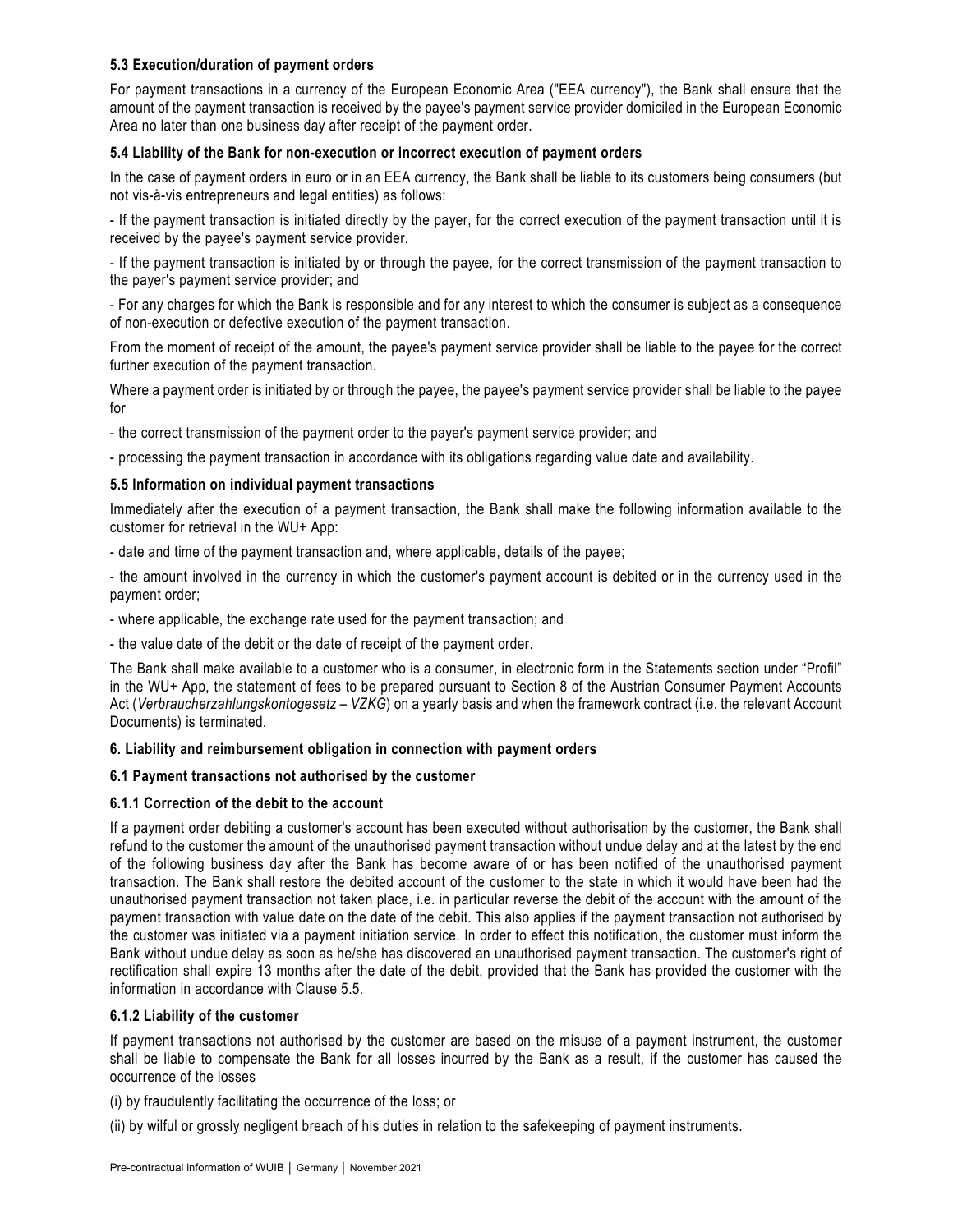# **5.3 Execution/duration of payment orders**

For payment transactions in a currency of the European Economic Area ("EEA currency"), the Bank shall ensure that the amount of the payment transaction is received by the payee's payment service provider domiciled in the European Economic Area no later than one business day after receipt of the payment order.

# **5.4 Liability of the Bank for non-execution or incorrect execution of payment orders**

In the case of payment orders in euro or in an EEA currency, the Bank shall be liable to its customers being consumers (but not vis-à-vis entrepreneurs and legal entities) as follows:

- If the payment transaction is initiated directly by the payer, for the correct execution of the payment transaction until it is received by the payee's payment service provider.

- If the payment transaction is initiated by or through the payee, for the correct transmission of the payment transaction to the payer's payment service provider; and

- For any charges for which the Bank is responsible and for any interest to which the consumer is subject as a consequence of non-execution or defective execution of the payment transaction.

From the moment of receipt of the amount, the payee's payment service provider shall be liable to the payee for the correct further execution of the payment transaction.

Where a payment order is initiated by or through the payee, the payee's payment service provider shall be liable to the payee for

- the correct transmission of the payment order to the payer's payment service provider; and

- processing the payment transaction in accordance with its obligations regarding value date and availability.

### **5.5 Information on individual payment transactions**

Immediately after the execution of a payment transaction, the Bank shall make the following information available to the customer for retrieval in the WU+ App:

- date and time of the payment transaction and, where applicable, details of the payee;

- the amount involved in the currency in which the customer's payment account is debited or in the currency used in the payment order;

- where applicable, the exchange rate used for the payment transaction; and

- the value date of the debit or the date of receipt of the payment order.

The Bank shall make available to a customer who is a consumer, in electronic form in the Statements section under "Profil" in the WU+ App, the statement of fees to be prepared pursuant to Section 8 of the Austrian Consumer Payment Accounts Act (*Verbraucherzahlungskontogesetz – VZKG*) on a yearly basis and when the framework contract (i.e. the relevant Account Documents) is terminated.

# **6. Liability and reimbursement obligation in connection with payment orders**

# **6.1 Payment transactions not authorised by the customer**

### **6.1.1 Correction of the debit to the account**

If a payment order debiting a customer's account has been executed without authorisation by the customer, the Bank shall refund to the customer the amount of the unauthorised payment transaction without undue delay and at the latest by the end of the following business day after the Bank has become aware of or has been notified of the unauthorised payment transaction. The Bank shall restore the debited account of the customer to the state in which it would have been had the unauthorised payment transaction not taken place, i.e. in particular reverse the debit of the account with the amount of the payment transaction with value date on the date of the debit. This also applies if the payment transaction not authorised by the customer was initiated via a payment initiation service. In order to effect this notification, the customer must inform the Bank without undue delay as soon as he/she has discovered an unauthorised payment transaction. The customer's right of rectification shall expire 13 months after the date of the debit, provided that the Bank has provided the customer with the information in accordance with Clause 5.5.

### **6.1.2 Liability of the customer**

If payment transactions not authorised by the customer are based on the misuse of a payment instrument, the customer shall be liable to compensate the Bank for all losses incurred by the Bank as a result, if the customer has caused the occurrence of the losses

(i) by fraudulently facilitating the occurrence of the loss; or

(ii) by wilful or grossly negligent breach of his duties in relation to the safekeeping of payment instruments.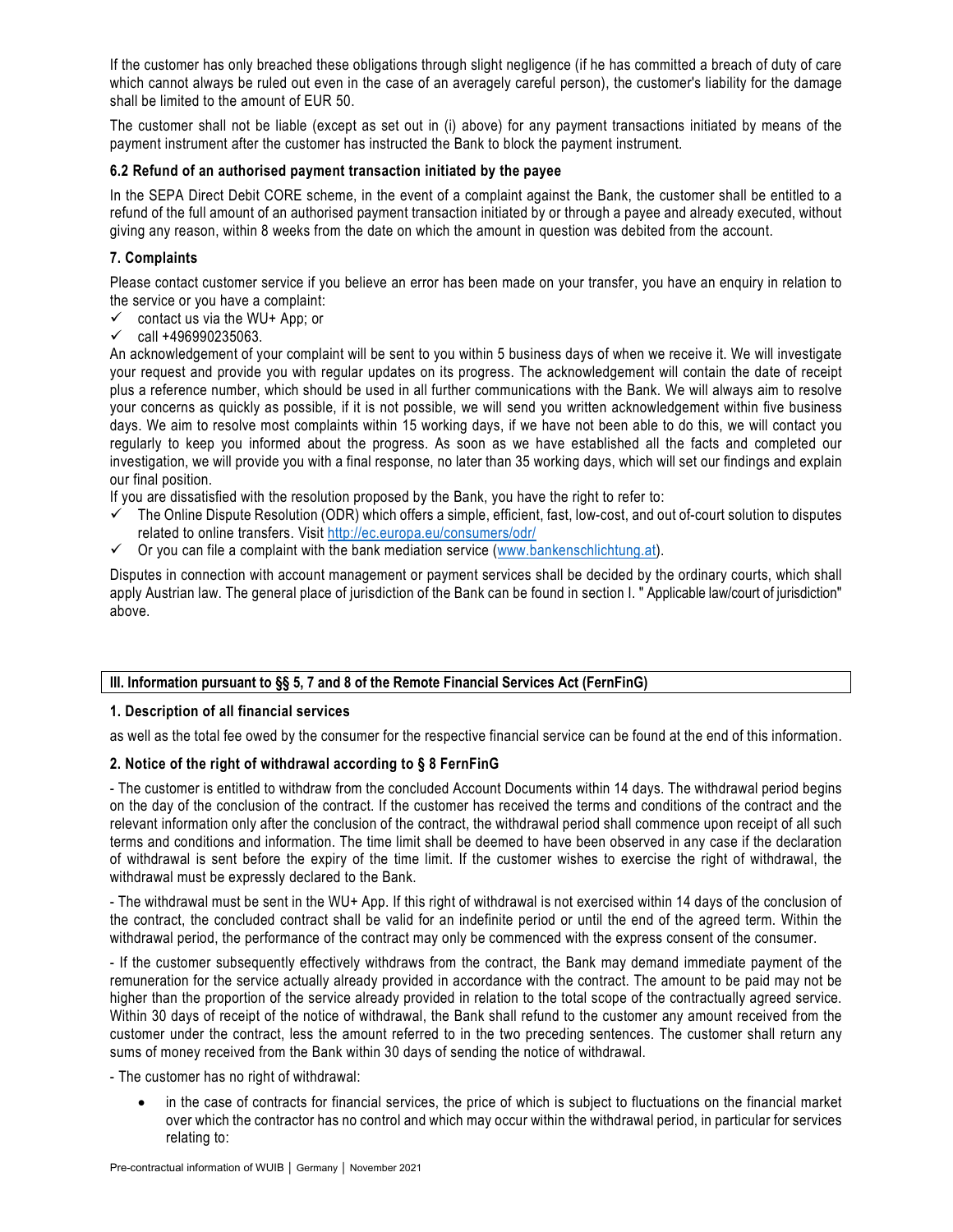If the customer has only breached these obligations through slight negligence (if he has committed a breach of duty of care which cannot always be ruled out even in the case of an averagely careful person), the customer's liability for the damage shall be limited to the amount of EUR 50.

The customer shall not be liable (except as set out in (i) above) for any payment transactions initiated by means of the payment instrument after the customer has instructed the Bank to block the payment instrument.

### **6.2 Refund of an authorised payment transaction initiated by the payee**

In the SEPA Direct Debit CORE scheme, in the event of a complaint against the Bank, the customer shall be entitled to a refund of the full amount of an authorised payment transaction initiated by or through a payee and already executed, without giving any reason, within 8 weeks from the date on which the amount in question was debited from the account.

# **7. Complaints**

Please contact customer service if you believe an error has been made on your transfer, you have an enquiry in relation to the service or you have a complaint:

- $\checkmark$  contact us via the WU+ App; or
- $\checkmark$  call +496990235063.

An acknowledgement of your complaint will be sent to you within 5 business days of when we receive it. We will investigate your request and provide you with regular updates on its progress. The acknowledgement will contain the date of receipt plus a reference number, which should be used in all further communications with the Bank. We will always aim to resolve your concerns as quickly as possible, if it is not possible, we will send you written acknowledgement within five business days. We aim to resolve most complaints within 15 working days, if we have not been able to do this, we will contact you regularly to keep you informed about the progress. As soon as we have established all the facts and completed our investigation, we will provide you with a final response, no later than 35 working days, which will set our findings and explain our final position.

If you are dissatisfied with the resolution proposed by the Bank, you have the right to refer to:

- $\checkmark$  The Online Dispute Resolution (ODR) which offers a simple, efficient, fast, low-cost, and out of-court solution to disputes related to online transfers. Visit<http://ec.europa.eu/consumers/odr/>
- $\checkmark$  Or you can file a complaint with the bank mediation service [\(www.bankenschlichtung.at\)](http://www.bankenschlichtung.at/).

Disputes in connection with account management or payment services shall be decided by the ordinary courts, which shall apply Austrian law. The general place of jurisdiction of the Bank can be found in section I. " Applicable law/court of jurisdiction" above.

# **III. Information pursuant to §§ 5, 7 and 8 of the Remote Financial Services Act (FernFinG)**

### **1. Description of all financial services**

as well as the total fee owed by the consumer for the respective financial service can be found at the end of this information.

# **2. Notice of the right of withdrawal according to § 8 FernFinG**

- The customer is entitled to withdraw from the concluded Account Documents within 14 days. The withdrawal period begins on the day of the conclusion of the contract. If the customer has received the terms and conditions of the contract and the relevant information only after the conclusion of the contract, the withdrawal period shall commence upon receipt of all such terms and conditions and information. The time limit shall be deemed to have been observed in any case if the declaration of withdrawal is sent before the expiry of the time limit. If the customer wishes to exercise the right of withdrawal, the withdrawal must be expressly declared to the Bank.

- The withdrawal must be sent in the WU+ App. If this right of withdrawal is not exercised within 14 days of the conclusion of the contract, the concluded contract shall be valid for an indefinite period or until the end of the agreed term. Within the withdrawal period, the performance of the contract may only be commenced with the express consent of the consumer.

- If the customer subsequently effectively withdraws from the contract, the Bank may demand immediate payment of the remuneration for the service actually already provided in accordance with the contract. The amount to be paid may not be higher than the proportion of the service already provided in relation to the total scope of the contractually agreed service. Within 30 days of receipt of the notice of withdrawal, the Bank shall refund to the customer any amount received from the customer under the contract, less the amount referred to in the two preceding sentences. The customer shall return any sums of money received from the Bank within 30 days of sending the notice of withdrawal.

- The customer has no right of withdrawal:

 in the case of contracts for financial services, the price of which is subject to fluctuations on the financial market over which the contractor has no control and which may occur within the withdrawal period, in particular for services relating to: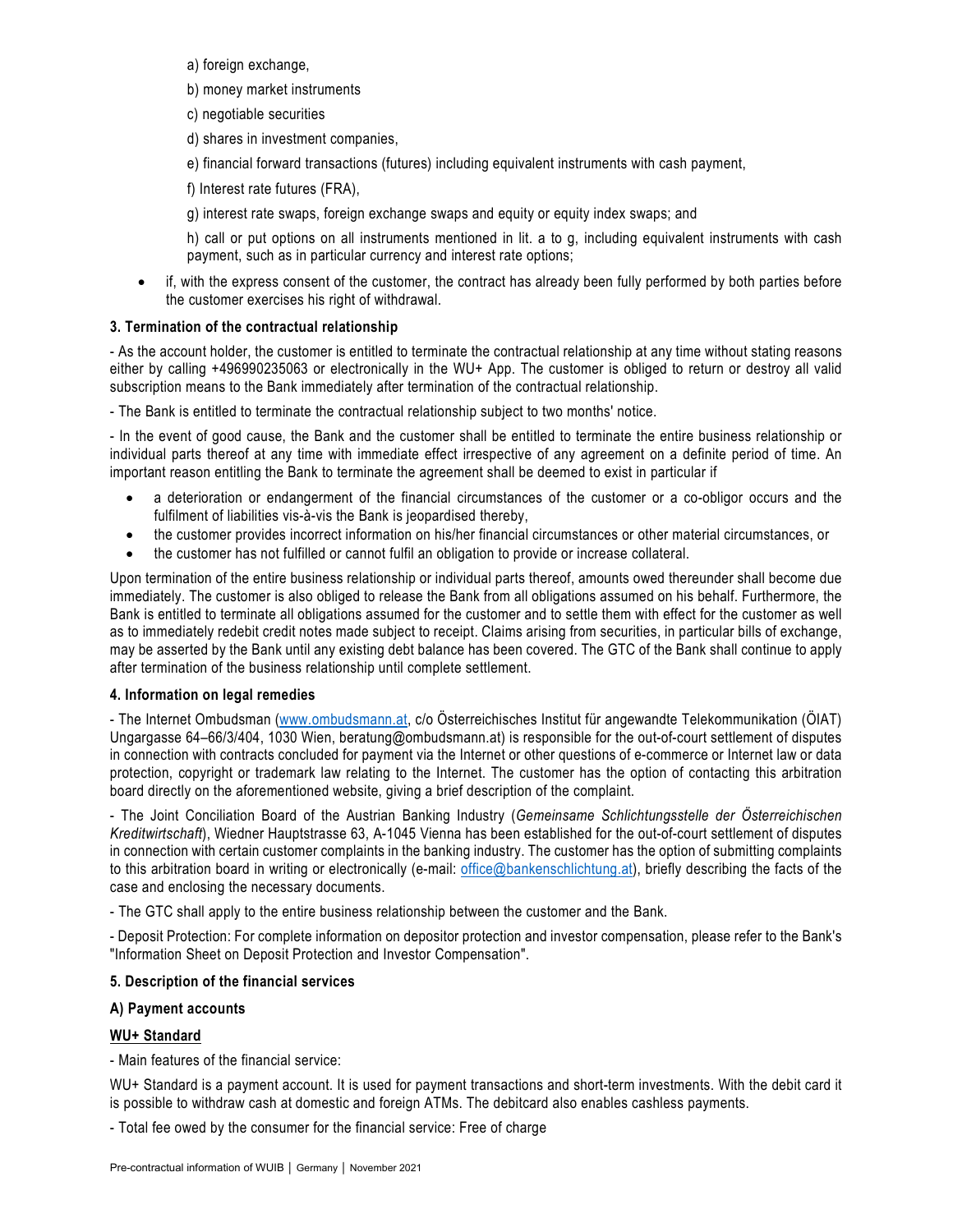- a) foreign exchange,
- b) money market instruments
- c) negotiable securities
- d) shares in investment companies,
- e) financial forward transactions (futures) including equivalent instruments with cash payment,
- f) Interest rate futures (FRA),
- g) interest rate swaps, foreign exchange swaps and equity or equity index swaps; and

h) call or put options on all instruments mentioned in lit. a to g, including equivalent instruments with cash payment, such as in particular currency and interest rate options;

 if, with the express consent of the customer, the contract has already been fully performed by both parties before the customer exercises his right of withdrawal.

### **3. Termination of the contractual relationship**

- As the account holder, the customer is entitled to terminate the contractual relationship at any time without stating reasons either by calling +496990235063 or electronically in the WU+ App. The customer is obliged to return or destroy all valid subscription means to the Bank immediately after termination of the contractual relationship.

- The Bank is entitled to terminate the contractual relationship subject to two months' notice.

- In the event of good cause, the Bank and the customer shall be entitled to terminate the entire business relationship or individual parts thereof at any time with immediate effect irrespective of any agreement on a definite period of time. An important reason entitling the Bank to terminate the agreement shall be deemed to exist in particular if

- a deterioration or endangerment of the financial circumstances of the customer or a co-obligor occurs and the fulfilment of liabilities vis-à-vis the Bank is jeopardised thereby,
- the customer provides incorrect information on his/her financial circumstances or other material circumstances, or
- the customer has not fulfilled or cannot fulfil an obligation to provide or increase collateral.

Upon termination of the entire business relationship or individual parts thereof, amounts owed thereunder shall become due immediately. The customer is also obliged to release the Bank from all obligations assumed on his behalf. Furthermore, the Bank is entitled to terminate all obligations assumed for the customer and to settle them with effect for the customer as well as to immediately redebit credit notes made subject to receipt. Claims arising from securities, in particular bills of exchange, may be asserted by the Bank until any existing debt balance has been covered. The GTC of the Bank shall continue to apply after termination of the business relationship until complete settlement.

### **4. Information on legal remedies**

- The Internet Ombudsman [\(www.ombudsmann.at,](http://www.ombudsmann.at/) c/o Österreichisches Institut für angewandte Telekommunikation (ÖIAT) Ungargasse 64–66/3/404, 1030 Wien, beratung@ombudsmann.at) is responsible for the out-of-court settlement of disputes in connection with contracts concluded for payment via the Internet or other questions of e-commerce or Internet law or data protection, copyright or trademark law relating to the Internet. The customer has the option of contacting this arbitration board directly on the aforementioned website, giving a brief description of the complaint.

- The Joint Conciliation Board of the Austrian Banking Industry (*Gemeinsame Schlichtungsstelle der Österreichischen Kreditwirtschaft*), Wiedner Hauptstrasse 63, A-1045 Vienna has been established for the out-of-court settlement of disputes in connection with certain customer complaints in the banking industry. The customer has the option of submitting complaints to this arbitration board in writing or electronically (e-mail: [office@bankenschlichtung.at\)](mailto:office@bankenschlichtung.at), briefly describing the facts of the case and enclosing the necessary documents.

- The GTC shall apply to the entire business relationship between the customer and the Bank.

- Deposit Protection: For complete information on depositor protection and investor compensation, please refer to the Bank's "Information Sheet on Deposit Protection and Investor Compensation".

# **5. Description of the financial services**

# **A) Payment accounts**

# **WU+ Standard**

- Main features of the financial service:

WU+ Standard is a payment account. It is used for payment transactions and short-term investments. With the debit card it is possible to withdraw cash at domestic and foreign ATMs. The debitcard also enables cashless payments.

- Total fee owed by the consumer for the financial service: Free of charge